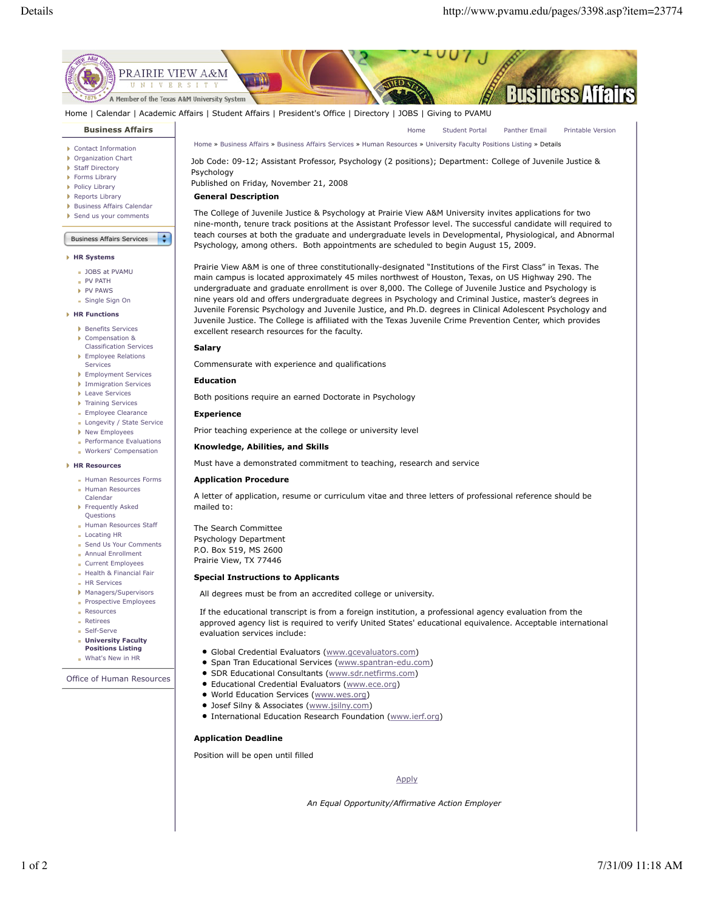

Home | Calendar | Academic Affairs | Student Affairs | President's Office | Directory | JOBS | Giving to PVAMU

# **Business Affairs**

- Contact Information
- Organization Chart
- Staff Directory
- **Forms Library**
- **Policy Library**
- Reports Library Business Affairs Calendar
- Send us your comments

# Business Affairs Services

 $\div$ 

### **HR Systems**

- **JOBS at PVAMU**
- PV PATH
- PV PAWS
- Single Sign On

# **HR Functions**

- Benefits Services
- Compensation & Classification Services
- **Employee Relations** Services
- **Employment Services**
- **Immigration Services**
- **Leave Services**
- **Training Services**
- **Employee Clearance** Longevity / State Service
- ▶ New Employees
- **Performance Evaluations**
- **Workers' Compensation**

### **HR Resources**

- **Human Resources Forms** Human Resources
- Calendar Frequently Asked Questions
- Human Resources Staff **Locating HR**
- Send Us Your Comments
- **Annual Enrollment**
- Current Employees
- Health & Financial Fair
- HR Services
- Managers/Supervisors Prospective Employees
- Resources
- **Retirees**
- Self-Serve
- **University Faculty**
- **Positions Listing**
- What's New in HR

Office of Human Resources

Home Student Portal Panther Email Printable Version Home » Business Affairs » Business Affairs Services » Human Resources » University Faculty Positions Listing » Details

Job Code: 09-12; Assistant Professor, Psychology (2 positions); Department: College of Juvenile Justice & Psychology

Published on Friday, November 21, 2008

# **General Description**

The College of Juvenile Justice & Psychology at Prairie View A&M University invites applications for two nine-month, tenure track positions at the Assistant Professor level. The successful candidate will required to teach courses at both the graduate and undergraduate levels in Developmental, Physiological, and Abnormal

main campus is located approximately 45 miles northwest of Houston, Texas, on US Highway 290. The undergraduate and graduate enrollment is over 8,000. The College of Juvenile Justice and Psychology is nine years old and offers undergraduate degrees in Psychology and Criminal Justice, master's degrees in Juvenile Forensic Psychology and Juvenile Justice, and Ph.D. degrees in Clinical Adolescent Psychology and Juvenile Justice. The College is affiliated with the Texas Juvenile Crime Prevention Center, which provides excellent research resources for the faculty.

# **Salary**

Commensurate with experience and qualifications

### **Education**

Both positions require an earned Doctorate in Psychology

### **Experience**

Prior teaching experience at the college or university level

### **Knowledge, Abilities, and Skills**

Must have a demonstrated commitment to teaching, research and service

# **Application Procedure**

A letter of application, resume or curriculum vitae and three letters of professional reference should be mailed to:

The Search Committee Psychology Department P.O. Box 519, MS 2600 Prairie View, TX 77446

## **Special Instructions to Applicants**

All degrees must be from an accredited college or university.

If the educational transcript is from a foreign institution, a professional agency evaluation from the approved agency list is required to verify United States' educational equivalence. Acceptable international evaluation services include:

- Global Credential Evaluators (www.gcevaluators.com)
- Span Tran Educational Services (www.spantran-edu.com)
- **SDR Educational Consultants (www.sdr.netfirms.com)**
- Educational Credential Evaluators (www.ece.org)
- **World Education Services (www.wes.org)**
- **Josef Silny & Associates (www.jsilny.com)**
- **International Education Research Foundation (www.ierf.org)**

# **Application Deadline**

Position will be open until filled

Apply

*An Equal Opportunity/Affirmative Action Employer*

# Psychology, among others. Both appointments are scheduled to begin August 15, 2009. Prairie View A&M is one of three constitutionally-designated "Institutions of the First Class" in Texas. The